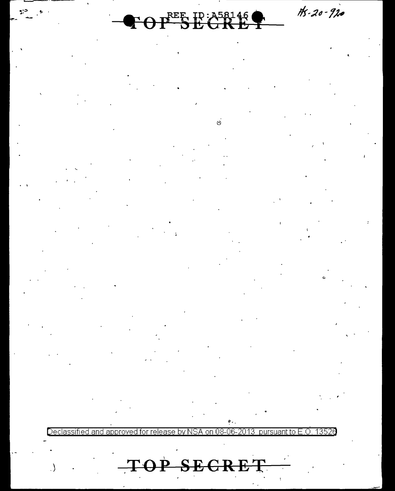$H - 20 - 920$ 

# $\mathbf{P} \Theta \mathbf{P}^{\texttt{REF}} \mathbf{B}$  is  $\mathbf{G} \mathbf{R}$  in

 $\dot{\circ}$ 

 $\mathbb{R}^3$ 

 $\rightarrow$ 

Declassifi 1२5 an

TOP SECRET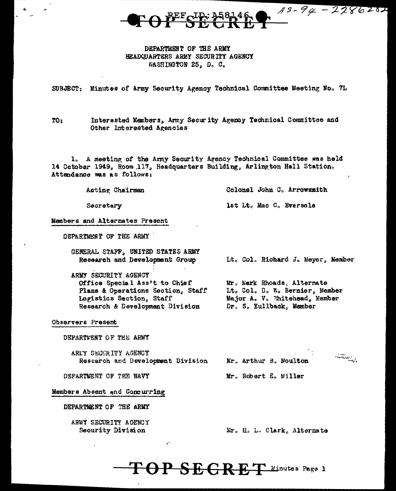

## DEPARTMENT OF THE ARMY HEADQUARTERS ARMY SECURITY AGENCY WASHINGTON 25, D. C.

SUBJECT: Minutes of Army Security Agency Technical Committee Meeting No. 7L

Interested Members, Army Security Agency Technical Committee and  $TO<sub>2</sub>$ Other Interested Agencies

1. A meeting of the Army Security Arency Technical Committee was held 14 October 1949, Room 117, Headquarters Building, Arlington Hall Station. Attendance was as follows:

| Acting Chairman                                                     | Colonel John C. Arrowsmith        |  |  |
|---------------------------------------------------------------------|-----------------------------------|--|--|
| Secretary                                                           | lst Lt. Mac C. Eversole           |  |  |
| <b>Members and Alternates Present</b>                               |                                   |  |  |
| DEPARTMENT OF THE ARMY                                              |                                   |  |  |
| GENERAL STAFF, UNITED STATES ARMY<br>Research and Development Group | Lt. Col. Richard J. Meyer, Member |  |  |

ARMY SECURITY AGENCY Office Special Ass't to Chief Mr. Mark Rhoads, Alternate Lt. Col. D. W. Bernier, Member Plans & Operations Section, Staff Major A. V. "hitehead, Member Logistics Section, Staff Research & Development Division Dr. S. Kullback, Member

Observers Present

DEPARTMENT OF THE ARMY

AREY SECCRITY AGENCY Research and Development Division

 $\mathcal{E}$ 

Mr. Arthur B. Moulton

 $\begin{picture}(20,10) \put(0,0){\line(1,0){10}} \put(15,0){\line(1,0){10}} \put(15,0){\line(1,0){10}} \put(15,0){\line(1,0){10}} \put(15,0){\line(1,0){10}} \put(15,0){\line(1,0){10}} \put(15,0){\line(1,0){10}} \put(15,0){\line(1,0){10}} \put(15,0){\line(1,0){10}} \put(15,0){\line(1,0){10}} \put(15,0){\line(1,0){10}} \put(15,0){\line(1$ 

Mr. Robert E. Willer

Members Absent and Concurring

DEPARTMENT OF THE NAVY

DEPARTMENT OF THE ARMY

ARMY SECURITY AGENCY Security Division

Mr. H. L. Clark, Alternate

 $\textbf{TOP}$  SEGRET Minutes Page 1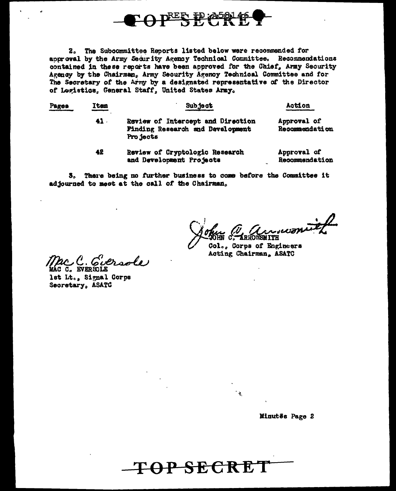

2. The Subcommittee Reports listed below were recommended for approval by the Army Security Agency Technical Committee. Recommendations contained in these reports have been approved for the Chief, Army Security Agency by the Chairman, Army Security Agency Technical Committee and for The Secretary of the Army by a designated representative of the Director of Logistics, General Staff, United States Army.

| <u>Pages</u> | <b>Ttem</b>     | Subject                                                                            | Action                        |
|--------------|-----------------|------------------------------------------------------------------------------------|-------------------------------|
|              | 41 <sup>1</sup> | Review of Intercept and Direction<br>Finding Research and Development<br>Pro jects | Approval of<br>Recommendation |
|              | 42              | Review of Cryptologic Research<br>and Development Projects                         | Approval of<br>Recommendation |

3. There being no further business to come before the Committee it adjourned to meet at the call of the Chairman.

<del>TOP SECRET</del>

Col., Corps of Engineers Acting Chairman, ASATC

Gieroole

lst Lt., Signal Corps Secretary, ASATC

Minutēs Page 2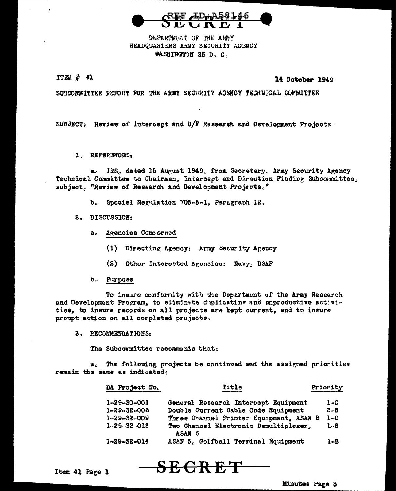

DEPARTMENT OF THE AREY HEADQUARTERS ARMY SECURITY AGENCY WASHINGTON 25 D. C.

 $ITEM#41$ 

14 October 1949

SUBCOMMITTEE REPORT FOR THE ARMY SECURITY AGENCY TECHNICAL COMMITTEE

SUBJECT: Review of Intercept and D/F Research and Development Projects

1. REFERENCES:

a. IRS, dated 15 August 1949, from Secretary, Army Security Agency Technical Committee to Chairman, Intercept and Direction Finding Subcommittee, subject, "Review of Research and Development Projects."

- b. Special Regulation 705-5-1, Paragraph 12.
- 2. DISCUSSION:
	- a. Agencies Concerned
		- (1) Directing Agency: Army Security Agency
		- (2) Other Interested Agencies: Navy, USAF
	- b. Purpose

To insure conformity with the Department of the Army Research and Development Program, to eliminate duplicating and unproductive activities, to insure records on all projects are kept current, and to insure prompt action on all completed projects.

3. RECOMMENDATIONS:

The Subcommittee recommends that:

a. The following projects be continued and the assigned priorities remain the same as indicated;

<del>SECRET</del>

| DA Project No.      | Title                                           | Priority |
|---------------------|-------------------------------------------------|----------|
| $1 - 29 - 30 - 001$ | General Research Intercept Equipment            | $1 - C$  |
| $1 - 29 - 32 - 008$ | Double Current Cable Code Equipment             | $2 - B$  |
| $1 - 29 - 32 - 009$ | Three Channel Printer Equipment, ASAN 8         | $1 - C$  |
| $1 - 29 - 32 - 013$ | Two Channel Electronic Demultiplexer,<br>ASAN 6 | $1 - B$  |
| $1 - 29 - 32 - 014$ | ASAN 5. Golfball Terminal Equipment             | l-B      |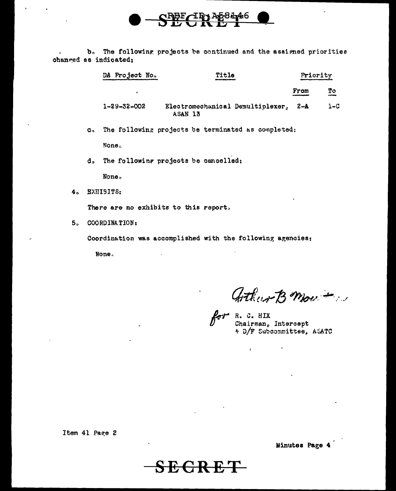b. The following projects be continued and the assigned priorities changed as indicated;

<u> 4р</u>

| DA Project No.      | Title                                       |      | Priority |  |
|---------------------|---------------------------------------------|------|----------|--|
| ,                   |                                             | From | To       |  |
| $1 - 29 - 32 - 002$ | Electromechanical Demultiplexer,<br>ASAN 13 | 2-A  | $1 - C$  |  |

у8 ду4 б

The following projects be terminated as completed:  $\mathbf{c}$ None.

d. The following projects be cancelled:

None.

 $4<sub>n</sub>$ **EXHIBITS:** 

There are no exhibits to this report.

5. COORDINATION:

Coordination was accomplished with the following agencies:

<del>SECRET</del>

None.

Athur B Mou +

for R. C. HIX<br>Chairman, Intercept \* D/F Subcommittee, ASATC

 $\ddot{\phantom{a}}$ 

 $\mathbf{r}$ 

Item 41 Page 2

Minutes Page 4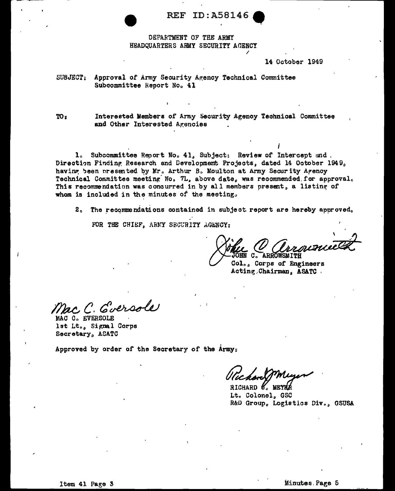**REF ID: A58146** 

## DEPARTMENT OF THE ARMY HEADCUARTERS ARMY SECURITY AGENCY

#### 14 October 1949

SUBJECT: Approval of Army Security Agency Technical Committee Subcommittee Report No. 41

 $TO<sub>s</sub>$ Interested Members of Army Security Agency Technical Committee and Other Interested Agencies

1. Subcommittee Report No. 41. Subject: Review of Intercept and. Direction Finding Research and Development Projects, dated 14 October 1949, having been presented by Mr. Arthur B. Moulton at Army Security Agency Technical Committee meeting No. 7L, above date, was recommended for approval. This recommendation was concurred in by all members present, a listing of whom is included in the minutes of the meeting.

2. The recommendations contained in subject report are hereby approved.

FOR THE CHIEF, ARMY SECURITY AGENCY:

**DHN C. ARROWSMITH** 

Col., Corps of Engineers Acting Chairman, ASATC.

Mac C. Eversole

MAC C. EVERSOLE lst Lt., Signal Corps Secretary, ASATC

Approved by order of the Secretary of the Army:

RICHARD 6. MEYER Lt. Colonel, GSC R&D Group, Logistics Div., GSUSA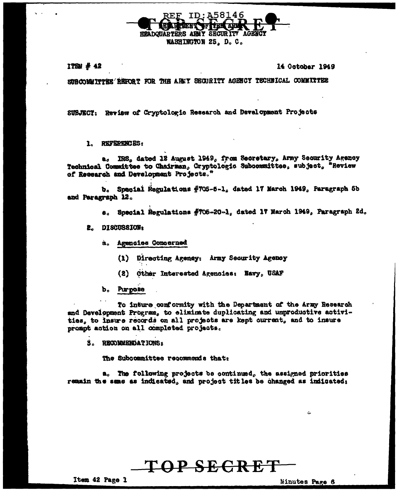

ITGN # 42

14 October 1949

SUBCOMMITTEE REPORT FOR THE ARMY SECURITY AGENCY TECHNICAL COMMITTEE

SUBJECT: Review of Cryptologic Research and Development Projects

1. REFERENCES:

IRS, dated 12 August 1949, from Secretary, Army Security Agency a. Technical Committee to Chairman, Cryptologic Subcommittee, subject, "Review of Research and Development Projects."

b. Special Regulations #705-5-1, dated 17 March 1949, Paragraph 5b and Paragraph 12.

- e. Special Regulations #705-20-1, dated 17 March 1949, Paragraph 2d.
- 2. DISCUSSION:
	- a. Agencies Comoerned
		- (1) Directing Agency: Army Security Agency
		- (2) Other Interested Agencies: Navy USAF
	- b. Purpose

To inture conformity with the Department of the Army Research and Development Program, to eliminate duplicating and unproductive activities, to insure records on all projects are kept current, and to insure prompt action on all completed projects.

S. RECOMMENDATIONS:

The Subcommittee recommends that:

a. The following projects be continued, the assigned priorities remain the same as indicated, and project titles be changed as indicated;

Minutes Page 6

ت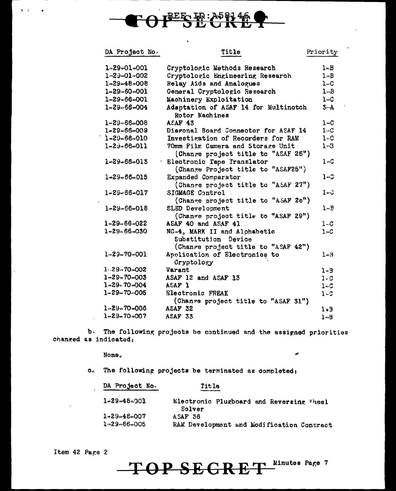

| DA Project No.      | Title                                                                              | Priority                     |
|---------------------|------------------------------------------------------------------------------------|------------------------------|
| $1 - 29 - 01 - 001$ | Cryptologic Methods Research                                                       | $1 - B$                      |
| 1-29-01-002         | Cryptologic Engineering Research                                                   | $1 - B$                      |
| $1 - 29 - 48 - 008$ | Relay Aids and Analogues                                                           | $\mathbf{1} \cup \mathbf{C}$ |
| 1-29-60-001         | General Cryptologic Research                                                       | $1 - B$                      |
| 1-29-66-001         | Machinery Exploitation                                                             | $1 - C$                      |
| $1 - 29 - 66 - 004$ | Adaptation of ASAF 14 for Multinotch<br>Rotor Machines                             | $3 - A$                      |
| $1 - 29 - 66 - 008$ | <b>ASAF 43</b>                                                                     | $1 - C$                      |
| 1-29-66-009         | Diagonal Board Connector for ASAF 14                                               | $1 - C$                      |
| $1 - 29 - 66 - 010$ | Investigation of Recorders for RAM                                                 | $1 - C$                      |
| $1 - 23 - 66 - 011$ | 70mm Film Camera and Storage Unit<br>(Change project title to "ASAF 26")           | $1-3$                        |
| 1-29-66-013         | · Electronic Tape Translator<br>(Change Project title to "ASAF25")                 | $1 - C$                      |
| 1-29-66-015         | Expanded Comparator<br>(Change project title to "ASAF 27")                         | 1-0                          |
| $1 - 29 - 66 - 017$ | SIGMAGE Control<br>(Change project title to "ASAF 26")                             | $1 - c$                      |
| $1 - 29 - 66 - 018$ | SLED Development<br>(Change project title to "ASAF 29")                            | $1 - R$                      |
| $1 - 29 - 66 - 022$ | ASAF 40 and ASAF 41                                                                | $1 - C$                      |
| 1-29-66-030         | NC-4, MARK II and Alphabetic<br>Substitution Device                                | $1 - C$                      |
| $1 - 29 - 70 - 003$ | (Change project title to "ASAF 42")<br>Application of Electronics to<br>Cryptology | $1 - 3$                      |
| $1.29 - 70 - 002$   | Varant                                                                             | $1 - 3$                      |
| $1 - 29 - 70 - 003$ | ASAF 12 and ASAF 13                                                                | $1 - C$                      |
| $1 - 29 - 70 - 004$ | ASAF <sub>1</sub>                                                                  | $1 - C$                      |
| $1 - 29 - 70 - 005$ | Electronic FREAK                                                                   | $1 - C$                      |
|                     | (Change project title to "ASAF 31")                                                |                              |
| $1 - 29 - 70 - 006$ | ASAF 32                                                                            | $1 - 3$                      |
| $1 - 29 - 70 - 007$ | ASAF 33                                                                            | $1 - B$                      |

b. The following projects be continued and the assigned priorities changed as indicated:

None.

c. The following projects be terminated as completed:

| DA Project No.      | Title                                              |
|---------------------|----------------------------------------------------|
| $1 - 29 - 48 - 003$ | Electronic Plugboard and Reversing Wheel<br>Solver |
| $1 - 29 - 48 - 007$ | ASAF 36                                            |
| $1 - 29 - 66 - 005$ | RAM Development and Modification Contract          |

ø

Item 42 Page 2

 $\mathbf{S}=\mathbf{C}$ 

 $\bullet$ 

TOP SEGRET Ninutes Page 7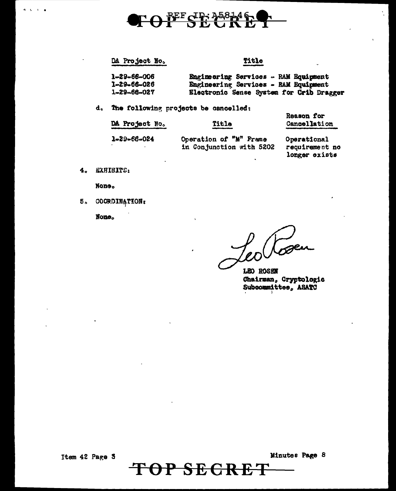

### DA Project No.

Title

| 1-29-66-006 | Engineering Services - RAM Equipment     |  |  |
|-------------|------------------------------------------|--|--|
| 1-29-66-026 | Engineering Services - RAM Equipment     |  |  |
| 1-29-66-027 | Electronic Sense System for Crib Dragger |  |  |

d. The following projects be cancelled:

| DA Project No. | Title                                              | Reason for<br>Cancellation                     |  |
|----------------|----------------------------------------------------|------------------------------------------------|--|
| 1-29-66-024    | Operation of "M" Frame<br>in Conjunction with 5202 | Operational<br>requirement no<br>longer exists |  |

**SECRET** 

 $\mathbf{P}$ 

0

EXHIBITS:  $4<sub>o</sub>$ 

 $A = 1$ 

None.

5. COORDINATION:

None.

LEO ROSEN Chairman, Cryptologic Subcommittee, ASATC